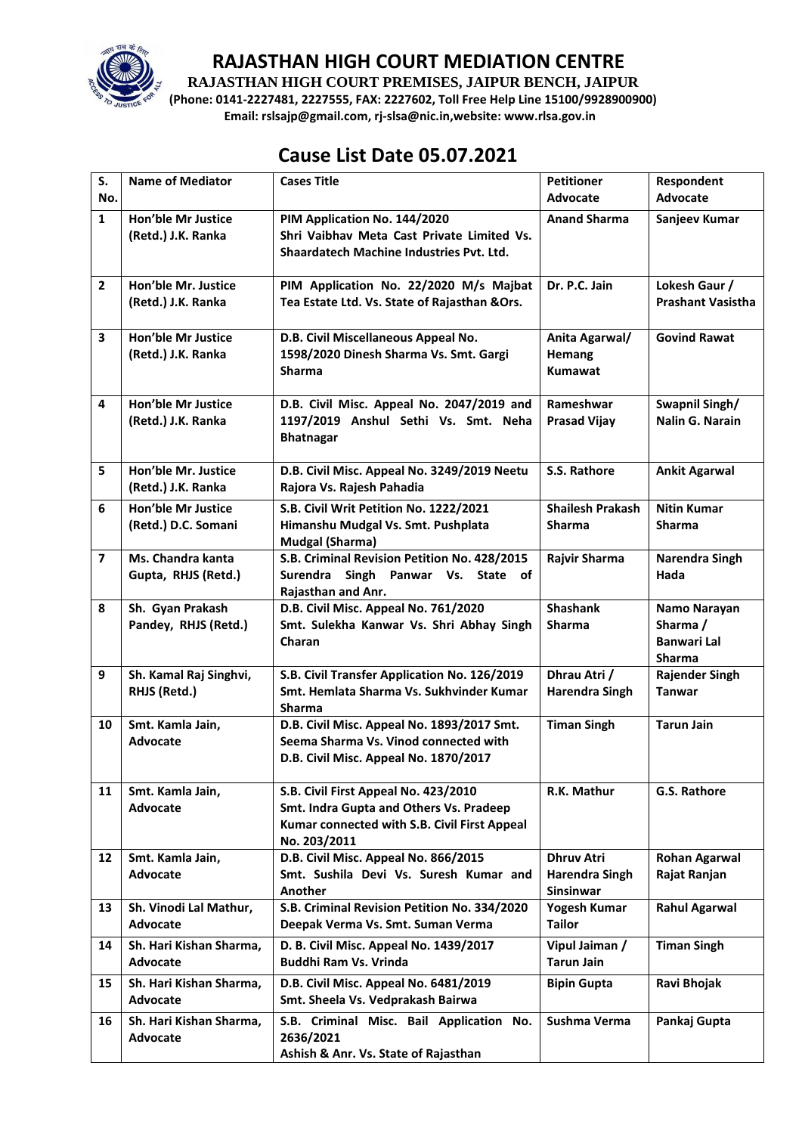

**RAJASTHAN HIGH COURT PREMISES, JAIPUR BENCH, JAIPUR**

**(Phone: 0141-2227481, 2227555, FAX: 2227602, Toll Free Help Line 15100/9928900900) Email: rslsajp@gmail.com, rj-slsa@nic.in,website: www.rlsa.gov.in**

## **Cause List Date 05.07.2021**

| S.             | <b>Name of Mediator</b>                          | <b>Cases Title</b>                                                                                                                              | <b>Petitioner</b>                                       | Respondent                                                      |
|----------------|--------------------------------------------------|-------------------------------------------------------------------------------------------------------------------------------------------------|---------------------------------------------------------|-----------------------------------------------------------------|
| No.            |                                                  |                                                                                                                                                 | <b>Advocate</b>                                         | Advocate                                                        |
| $\mathbf{1}$   | <b>Hon'ble Mr Justice</b><br>(Retd.) J.K. Ranka  | PIM Application No. 144/2020<br>Shri Vaibhav Meta Cast Private Limited Vs.<br>Shaardatech Machine Industries Pvt. Ltd.                          | <b>Anand Sharma</b>                                     | Sanjeev Kumar                                                   |
| $\overline{2}$ | Hon'ble Mr. Justice<br>(Retd.) J.K. Ranka        | PIM Application No. 22/2020 M/s Majbat<br>Tea Estate Ltd. Vs. State of Rajasthan & Ors.                                                         | Dr. P.C. Jain                                           | Lokesh Gaur /<br><b>Prashant Vasistha</b>                       |
| 3              | Hon'ble Mr Justice<br>(Retd.) J.K. Ranka         | D.B. Civil Miscellaneous Appeal No.<br>1598/2020 Dinesh Sharma Vs. Smt. Gargi<br><b>Sharma</b>                                                  | Anita Agarwal/<br><b>Hemang</b><br><b>Kumawat</b>       | <b>Govind Rawat</b>                                             |
| 4              | <b>Hon'ble Mr Justice</b><br>(Retd.) J.K. Ranka  | D.B. Civil Misc. Appeal No. 2047/2019 and<br>1197/2019 Anshul Sethi Vs. Smt. Neha<br><b>Bhatnagar</b>                                           | Rameshwar<br><b>Prasad Vijay</b>                        | Swapnil Singh/<br>Nalin G. Narain                               |
| 5              | Hon'ble Mr. Justice<br>(Retd.) J.K. Ranka        | D.B. Civil Misc. Appeal No. 3249/2019 Neetu<br>Rajora Vs. Rajesh Pahadia                                                                        | S.S. Rathore                                            | <b>Ankit Agarwal</b>                                            |
| 6              | <b>Hon'ble Mr Justice</b><br>(Retd.) D.C. Somani | S.B. Civil Writ Petition No. 1222/2021<br>Himanshu Mudgal Vs. Smt. Pushplata<br><b>Mudgal (Sharma)</b>                                          | <b>Shailesh Prakash</b><br><b>Sharma</b>                | <b>Nitin Kumar</b><br><b>Sharma</b>                             |
| $\overline{7}$ | Ms. Chandra kanta<br>Gupta, RHJS (Retd.)         | S.B. Criminal Revision Petition No. 428/2015<br>Surendra Singh Panwar Vs. State of<br>Rajasthan and Anr.                                        | Rajvir Sharma                                           | Narendra Singh<br>Hada                                          |
| 8              | Sh. Gyan Prakash<br>Pandey, RHJS (Retd.)         | D.B. Civil Misc. Appeal No. 761/2020<br>Smt. Sulekha Kanwar Vs. Shri Abhay Singh<br>Charan                                                      | <b>Shashank</b><br><b>Sharma</b>                        | Namo Narayan<br>Sharma /<br><b>Banwari Lal</b><br><b>Sharma</b> |
| 9              | Sh. Kamal Raj Singhvi,<br>RHJS (Retd.)           | S.B. Civil Transfer Application No. 126/2019<br>Smt. Hemlata Sharma Vs. Sukhvinder Kumar<br><b>Sharma</b>                                       | Dhrau Atri /<br><b>Harendra Singh</b>                   | <b>Rajender Singh</b><br><b>Tanwar</b>                          |
| 10             | Smt. Kamla Jain,<br><b>Advocate</b>              | D.B. Civil Misc. Appeal No. 1893/2017 Smt.<br>Seema Sharma Vs. Vinod connected with<br>D.B. Civil Misc. Appeal No. 1870/2017                    | <b>Timan Singh</b>                                      | <b>Tarun Jain</b>                                               |
| 11             | Smt. Kamla Jain,<br>Advocate                     | S.B. Civil First Appeal No. 423/2010<br>Smt. Indra Gupta and Others Vs. Pradeep<br>Kumar connected with S.B. Civil First Appeal<br>No. 203/2011 | R.K. Mathur                                             | G.S. Rathore                                                    |
| 12             | Smt. Kamla Jain,<br><b>Advocate</b>              | D.B. Civil Misc. Appeal No. 866/2015<br>Smt. Sushila Devi Vs. Suresh Kumar and<br>Another                                                       | <b>Dhruv Atri</b><br><b>Harendra Singh</b><br>Sinsinwar | Rohan Agarwal<br>Rajat Ranjan                                   |
| 13             | Sh. Vinodi Lal Mathur,<br><b>Advocate</b>        | S.B. Criminal Revision Petition No. 334/2020<br>Deepak Verma Vs. Smt. Suman Verma                                                               | <b>Yogesh Kumar</b><br><b>Tailor</b>                    | <b>Rahul Agarwal</b>                                            |
| 14             | Sh. Hari Kishan Sharma,<br>Advocate              | D. B. Civil Misc. Appeal No. 1439/2017<br>Buddhi Ram Vs. Vrinda                                                                                 | Vipul Jaiman /<br><b>Tarun Jain</b>                     | <b>Timan Singh</b>                                              |
| 15             | Sh. Hari Kishan Sharma,<br>Advocate              | D.B. Civil Misc. Appeal No. 6481/2019<br>Smt. Sheela Vs. Vedprakash Bairwa                                                                      | <b>Bipin Gupta</b>                                      | Ravi Bhojak                                                     |
| 16             | Sh. Hari Kishan Sharma,<br>Advocate              | S.B. Criminal Misc. Bail Application No.<br>2636/2021<br>Ashish & Anr. Vs. State of Rajasthan                                                   | Sushma Verma                                            | Pankaj Gupta                                                    |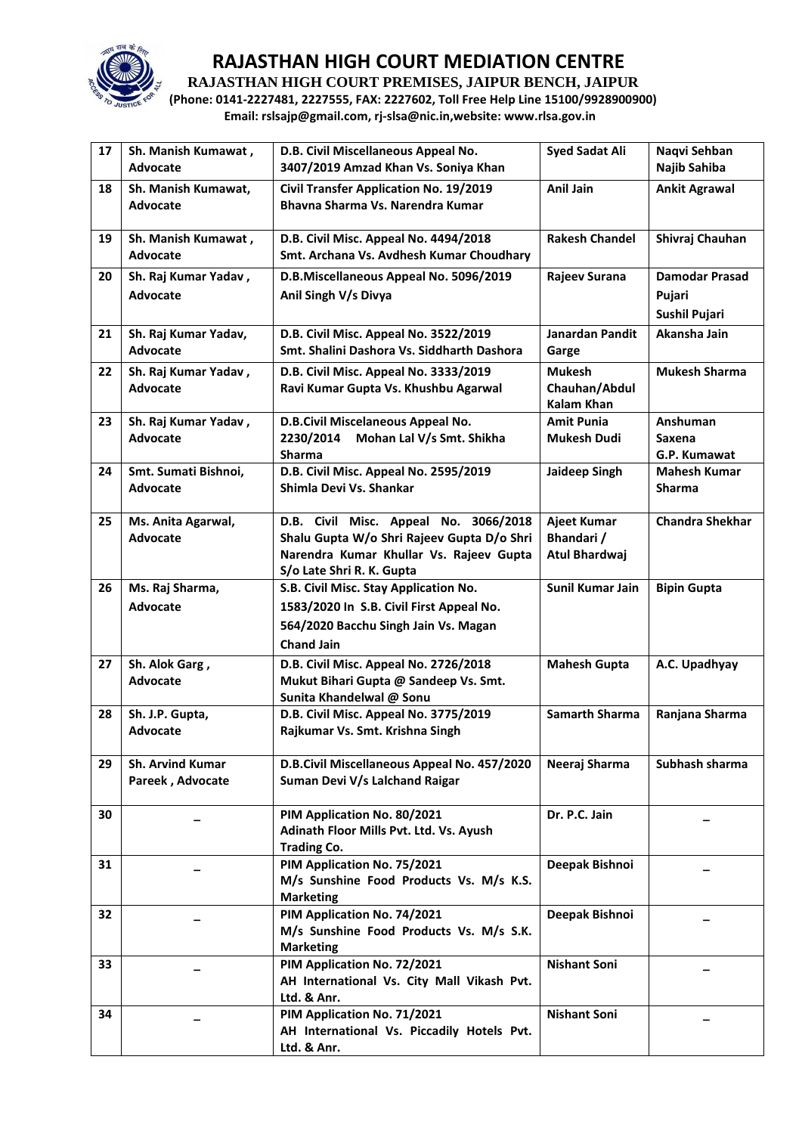

**RAJASTHAN HIGH COURT PREMISES, JAIPUR BENCH, JAIPUR**

**(Phone: 0141-2227481, 2227555, FAX: 2227602, Toll Free Help Line 15100/9928900900) Email: rslsajp@gmail.com, rj-slsa@nic.in,website: www.rlsa.gov.in**

| 17 | Sh. Manish Kumawat,<br>Advocate | D.B. Civil Miscellaneous Appeal No.<br>3407/2019 Amzad Khan Vs. Soniya Khan       | <b>Syed Sadat Ali</b>  | Naqvi Sehban<br>Najib Sahiba |
|----|---------------------------------|-----------------------------------------------------------------------------------|------------------------|------------------------------|
| 18 | Sh. Manish Kumawat,<br>Advocate | <b>Civil Transfer Application No. 19/2019</b><br>Bhavna Sharma Vs. Narendra Kumar | Anil Jain              | <b>Ankit Agrawal</b>         |
| 19 | Sh. Manish Kumawat,<br>Advocate | D.B. Civil Misc. Appeal No. 4494/2018<br>Smt. Archana Vs. Avdhesh Kumar Choudhary | <b>Rakesh Chandel</b>  | Shivraj Chauhan              |
| 20 | Sh. Raj Kumar Yadav,            | D.B.Miscellaneous Appeal No. 5096/2019                                            | Rajeev Surana          | <b>Damodar Prasad</b>        |
|    | Advocate                        | Anil Singh V/s Divya                                                              |                        | Pujari                       |
|    |                                 |                                                                                   |                        | <b>Sushil Pujari</b>         |
| 21 | Sh. Raj Kumar Yadav,            | D.B. Civil Misc. Appeal No. 3522/2019                                             | <b>Janardan Pandit</b> | Akansha Jain                 |
|    | Advocate                        | Smt. Shalini Dashora Vs. Siddharth Dashora                                        | Garge                  |                              |
| 22 | Sh. Raj Kumar Yadav,            | D.B. Civil Misc. Appeal No. 3333/2019                                             | <b>Mukesh</b>          | <b>Mukesh Sharma</b>         |
|    | Advocate                        | Ravi Kumar Gupta Vs. Khushbu Agarwal                                              | Chauhan/Abdul          |                              |
|    |                                 |                                                                                   | <b>Kalam Khan</b>      |                              |
| 23 | Sh. Raj Kumar Yadav,            | D.B.Civil Miscelaneous Appeal No.                                                 | <b>Amit Punia</b>      | Anshuman                     |
|    | Advocate                        | 2230/2014<br>Mohan Lal V/s Smt. Shikha                                            | <b>Mukesh Dudi</b>     | <b>Saxena</b>                |
|    |                                 | <b>Sharma</b>                                                                     |                        | G.P. Kumawat                 |
| 24 | Smt. Sumati Bishnoi,            | D.B. Civil Misc. Appeal No. 2595/2019                                             | <b>Jaideep Singh</b>   | <b>Mahesh Kumar</b>          |
|    | Advocate                        | Shimla Devi Vs. Shankar                                                           |                        | <b>Sharma</b>                |
|    |                                 |                                                                                   |                        |                              |
| 25 | Ms. Anita Agarwal,              | D.B. Civil Misc. Appeal No. 3066/2018                                             | <b>Ajeet Kumar</b>     | <b>Chandra Shekhar</b>       |
|    | Advocate                        | Shalu Gupta W/o Shri Rajeev Gupta D/o Shri                                        | Bhandari /             |                              |
|    |                                 | Narendra Kumar Khullar Vs. Rajeev Gupta                                           | Atul Bhardwaj          |                              |
|    |                                 | S/o Late Shri R. K. Gupta                                                         |                        |                              |
| 26 | Ms. Raj Sharma,                 | S.B. Civil Misc. Stay Application No.                                             | Sunil Kumar Jain       | <b>Bipin Gupta</b>           |
|    | <b>Advocate</b>                 | 1583/2020 In S.B. Civil First Appeal No.                                          |                        |                              |
|    |                                 | 564/2020 Bacchu Singh Jain Vs. Magan                                              |                        |                              |
|    |                                 | <b>Chand Jain</b>                                                                 |                        |                              |
| 27 | Sh. Alok Garg,                  | D.B. Civil Misc. Appeal No. 2726/2018                                             | <b>Mahesh Gupta</b>    | A.C. Upadhyay                |
|    | <b>Advocate</b>                 | Mukut Bihari Gupta @ Sandeep Vs. Smt.                                             |                        |                              |
|    |                                 | Sunita Khandelwal @ Sonu                                                          |                        |                              |
| 28 | Sh. J.P. Gupta,                 | D.B. Civil Misc. Appeal No. 3775/2019                                             | <b>Samarth Sharma</b>  | Ranjana Sharma               |
|    | <b>Advocate</b>                 | Rajkumar Vs. Smt. Krishna Singh                                                   |                        |                              |
| 29 | <b>Sh. Arvind Kumar</b>         | D.B.Civil Miscellaneous Appeal No. 457/2020                                       | Neeraj Sharma          | Subhash sharma               |
|    | Pareek, Advocate                | Suman Devi V/s Lalchand Raigar                                                    |                        |                              |
|    |                                 |                                                                                   |                        |                              |
| 30 |                                 | PIM Application No. 80/2021                                                       | Dr. P.C. Jain          |                              |
|    |                                 | Adinath Floor Mills Pvt. Ltd. Vs. Ayush                                           |                        |                              |
|    |                                 | <b>Trading Co.</b>                                                                |                        |                              |
| 31 |                                 | PIM Application No. 75/2021                                                       | Deepak Bishnoi         |                              |
|    |                                 | M/s Sunshine Food Products Vs. M/s K.S.                                           |                        |                              |
|    |                                 | <b>Marketing</b>                                                                  |                        |                              |
| 32 |                                 | PIM Application No. 74/2021                                                       | Deepak Bishnoi         |                              |
|    |                                 | M/s Sunshine Food Products Vs. M/s S.K.                                           |                        |                              |
|    |                                 | <b>Marketing</b><br>PIM Application No. 72/2021                                   |                        |                              |
| 33 |                                 | AH International Vs. City Mall Vikash Pvt.                                        | <b>Nishant Soni</b>    |                              |
|    |                                 | Ltd. & Anr.                                                                       |                        |                              |
| 34 |                                 | PIM Application No. 71/2021                                                       | <b>Nishant Soni</b>    |                              |
|    |                                 | AH International Vs. Piccadily Hotels Pvt.                                        |                        |                              |
|    |                                 | Ltd. & Anr.                                                                       |                        |                              |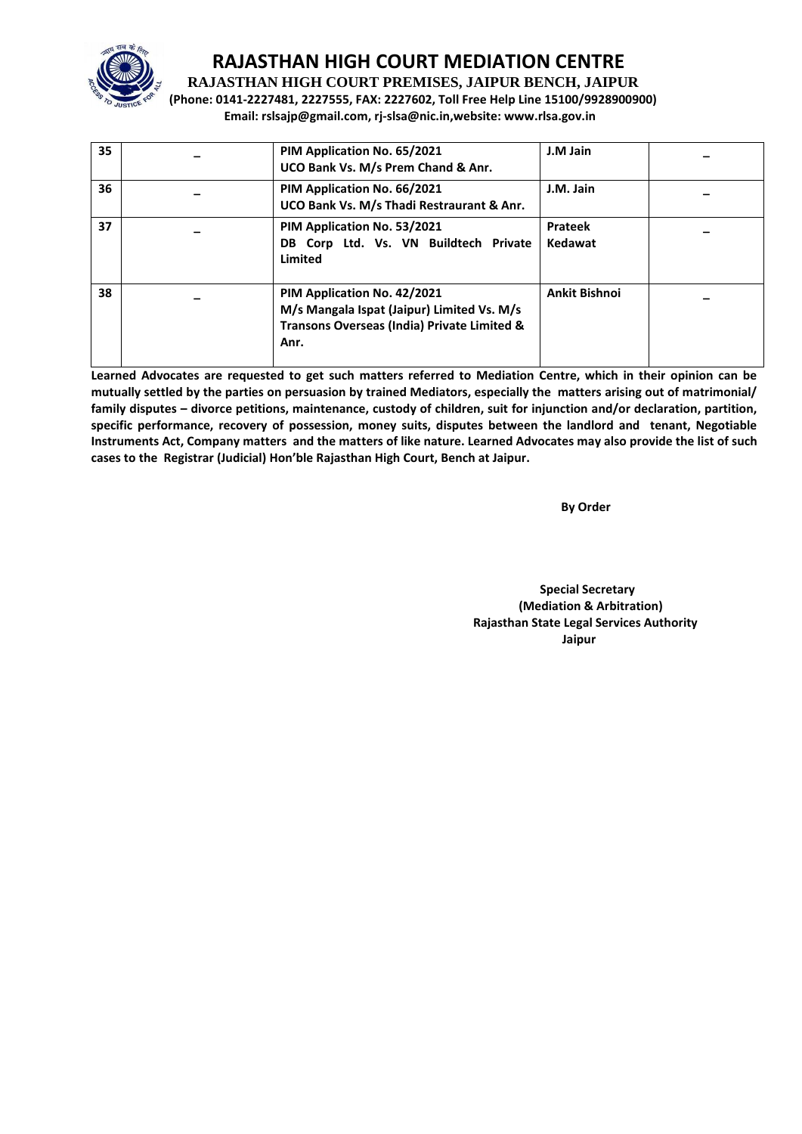

**RAJASTHAN HIGH COURT PREMISES, JAIPUR BENCH, JAIPUR**

**(Phone: 0141-2227481, 2227555, FAX: 2227602, Toll Free Help Line 15100/9928900900) Email: rslsajp@gmail.com, rj-slsa@nic.in,website: www.rlsa.gov.in**

| 35 | PIM Application No. 65/2021<br>UCO Bank Vs. M/s Prem Chand & Anr.                                                                | J.M Jain                  |  |
|----|----------------------------------------------------------------------------------------------------------------------------------|---------------------------|--|
| 36 | PIM Application No. 66/2021<br>UCO Bank Vs. M/s Thadi Restraurant & Anr.                                                         | J.M. Jain                 |  |
| 37 | PIM Application No. 53/2021<br>DB Corp Ltd. Vs. VN Buildtech Private<br>Limited                                                  | <b>Prateek</b><br>Kedawat |  |
| 38 | PIM Application No. 42/2021<br>M/s Mangala Ispat (Jaipur) Limited Vs. M/s<br>Transons Overseas (India) Private Limited &<br>Anr. | <b>Ankit Bishnoi</b>      |  |

**Learned Advocates are requested to get such matters referred to Mediation Centre, which in their opinion can be mutually settled by the parties on persuasion by trained Mediators, especially the matters arising out of matrimonial/ family disputes – divorce petitions, maintenance, custody of children, suit for injunction and/or declaration, partition, specific performance, recovery of possession, money suits, disputes between the landlord and tenant, Negotiable Instruments Act, Company matters and the matters of like nature. Learned Advocates may also provide the list of such cases to the Registrar (Judicial) Hon'ble Rajasthan High Court, Bench at Jaipur.** 

 **By Order** 

 **Special Secretary (Mediation & Arbitration) Rajasthan State Legal Services Authority Jaipur**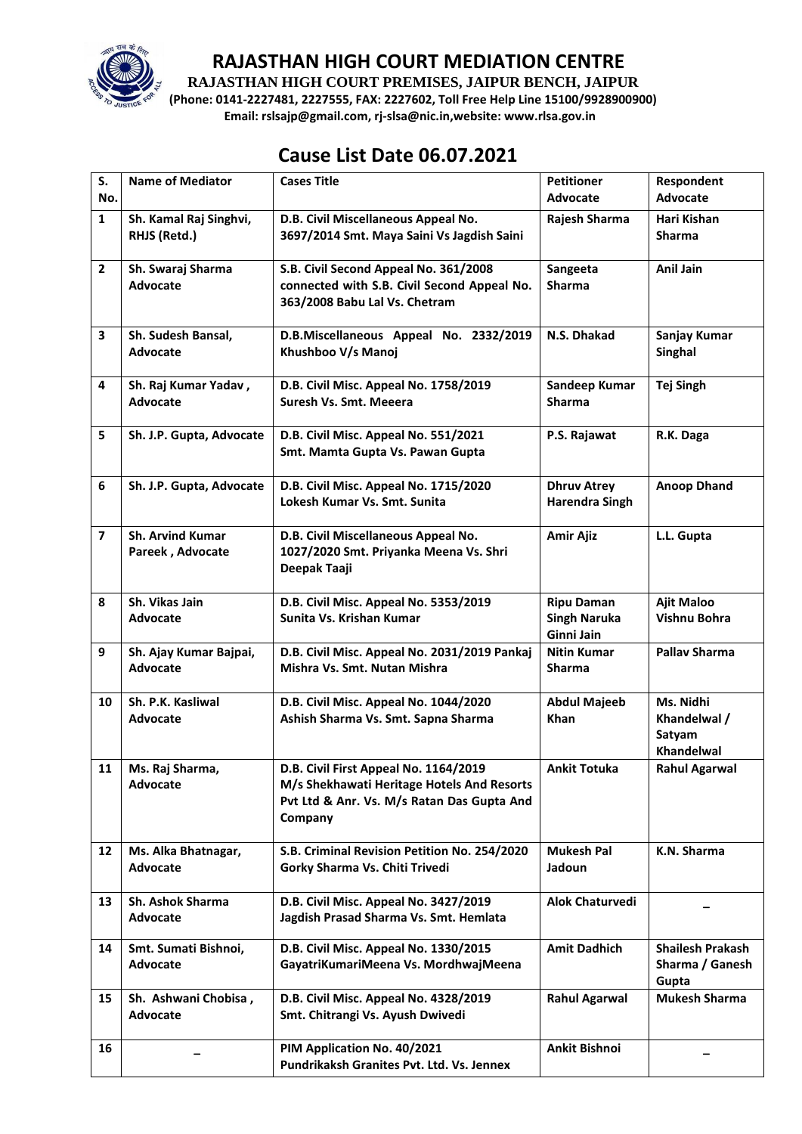

**RAJASTHAN HIGH COURT PREMISES, JAIPUR BENCH, JAIPUR**

**(Phone: 0141-2227481, 2227555, FAX: 2227602, Toll Free Help Line 15100/9928900900) Email: rslsajp@gmail.com, rj-slsa@nic.in,website: www.rlsa.gov.in**

# **Cause List Date 06.07.2021**

| S.<br>No.      | <b>Name of Mediator</b>                     | <b>Cases Title</b>                                                                                                                           | <b>Petitioner</b><br>Advocate                          | Respondent<br><b>Advocate</b>                       |
|----------------|---------------------------------------------|----------------------------------------------------------------------------------------------------------------------------------------------|--------------------------------------------------------|-----------------------------------------------------|
| $\mathbf{1}$   | Sh. Kamal Raj Singhvi,<br>RHJS (Retd.)      | D.B. Civil Miscellaneous Appeal No.<br>3697/2014 Smt. Maya Saini Vs Jagdish Saini                                                            | Rajesh Sharma                                          | Hari Kishan<br><b>Sharma</b>                        |
| $\overline{2}$ | Sh. Swaraj Sharma<br>Advocate               | S.B. Civil Second Appeal No. 361/2008<br>connected with S.B. Civil Second Appeal No.<br>363/2008 Babu Lal Vs. Chetram                        | Sangeeta<br><b>Sharma</b>                              | <b>Anil Jain</b>                                    |
| 3              | Sh. Sudesh Bansal,<br><b>Advocate</b>       | D.B.Miscellaneous Appeal No. 2332/2019<br>Khushboo V/s Manoj                                                                                 | N.S. Dhakad                                            | Sanjay Kumar<br><b>Singhal</b>                      |
| 4              | Sh. Raj Kumar Yadav,<br><b>Advocate</b>     | D.B. Civil Misc. Appeal No. 1758/2019<br>Suresh Vs. Smt. Meeera                                                                              | Sandeep Kumar<br><b>Sharma</b>                         | <b>Tej Singh</b>                                    |
| 5              | Sh. J.P. Gupta, Advocate                    | D.B. Civil Misc. Appeal No. 551/2021<br>Smt. Mamta Gupta Vs. Pawan Gupta                                                                     | P.S. Rajawat                                           | R.K. Daga                                           |
| 6              | Sh. J.P. Gupta, Advocate                    | D.B. Civil Misc. Appeal No. 1715/2020<br>Lokesh Kumar Vs. Smt. Sunita                                                                        | <b>Dhruv Atrey</b><br><b>Harendra Singh</b>            | <b>Anoop Dhand</b>                                  |
| $\overline{7}$ | <b>Sh. Arvind Kumar</b><br>Pareek, Advocate | D.B. Civil Miscellaneous Appeal No.<br>1027/2020 Smt. Priyanka Meena Vs. Shri<br>Deepak Taaji                                                | <b>Amir Ajiz</b>                                       | L.L. Gupta                                          |
| 8              | Sh. Vikas Jain<br>Advocate                  | D.B. Civil Misc. Appeal No. 5353/2019<br>Sunita Vs. Krishan Kumar                                                                            | <b>Ripu Daman</b><br><b>Singh Naruka</b><br>Ginni Jain | <b>Ajit Maloo</b><br>Vishnu Bohra                   |
| 9              | Sh. Ajay Kumar Bajpai,<br><b>Advocate</b>   | D.B. Civil Misc. Appeal No. 2031/2019 Pankaj<br>Mishra Vs. Smt. Nutan Mishra                                                                 | <b>Nitin Kumar</b><br><b>Sharma</b>                    | <b>Pallav Sharma</b>                                |
| 10             | Sh. P.K. Kasliwal<br><b>Advocate</b>        | D.B. Civil Misc. Appeal No. 1044/2020<br>Ashish Sharma Vs. Smt. Sapna Sharma                                                                 | <b>Abdul Majeeb</b><br><b>Khan</b>                     | Ms. Nidhi<br>Khandelwal /<br>Satyam<br>Khandelwal   |
| 11             | Ms. Raj Sharma,<br><b>Advocate</b>          | D.B. Civil First Appeal No. 1164/2019<br>M/s Shekhawati Heritage Hotels And Resorts<br>Pvt Ltd & Anr. Vs. M/s Ratan Das Gupta And<br>Company | <b>Ankit Totuka</b>                                    | Rahul Agarwal                                       |
| 12             | Ms. Alka Bhatnagar,<br><b>Advocate</b>      | S.B. Criminal Revision Petition No. 254/2020<br>Gorky Sharma Vs. Chiti Trivedi                                                               | <b>Mukesh Pal</b><br>Jadoun                            | K.N. Sharma                                         |
| 13             | Sh. Ashok Sharma<br>Advocate                | D.B. Civil Misc. Appeal No. 3427/2019<br>Jagdish Prasad Sharma Vs. Smt. Hemlata                                                              | <b>Alok Chaturvedi</b>                                 |                                                     |
| 14             | Smt. Sumati Bishnoi,<br>Advocate            | D.B. Civil Misc. Appeal No. 1330/2015<br>GayatriKumariMeena Vs. MordhwajMeena                                                                | <b>Amit Dadhich</b>                                    | <b>Shailesh Prakash</b><br>Sharma / Ganesh<br>Gupta |
| 15             | Sh. Ashwani Chobisa,<br>Advocate            | D.B. Civil Misc. Appeal No. 4328/2019<br>Smt. Chitrangi Vs. Ayush Dwivedi                                                                    | <b>Rahul Agarwal</b>                                   | <b>Mukesh Sharma</b>                                |
| 16             |                                             | PIM Application No. 40/2021<br>Pundrikaksh Granites Pvt. Ltd. Vs. Jennex                                                                     | Ankit Bishnoi                                          |                                                     |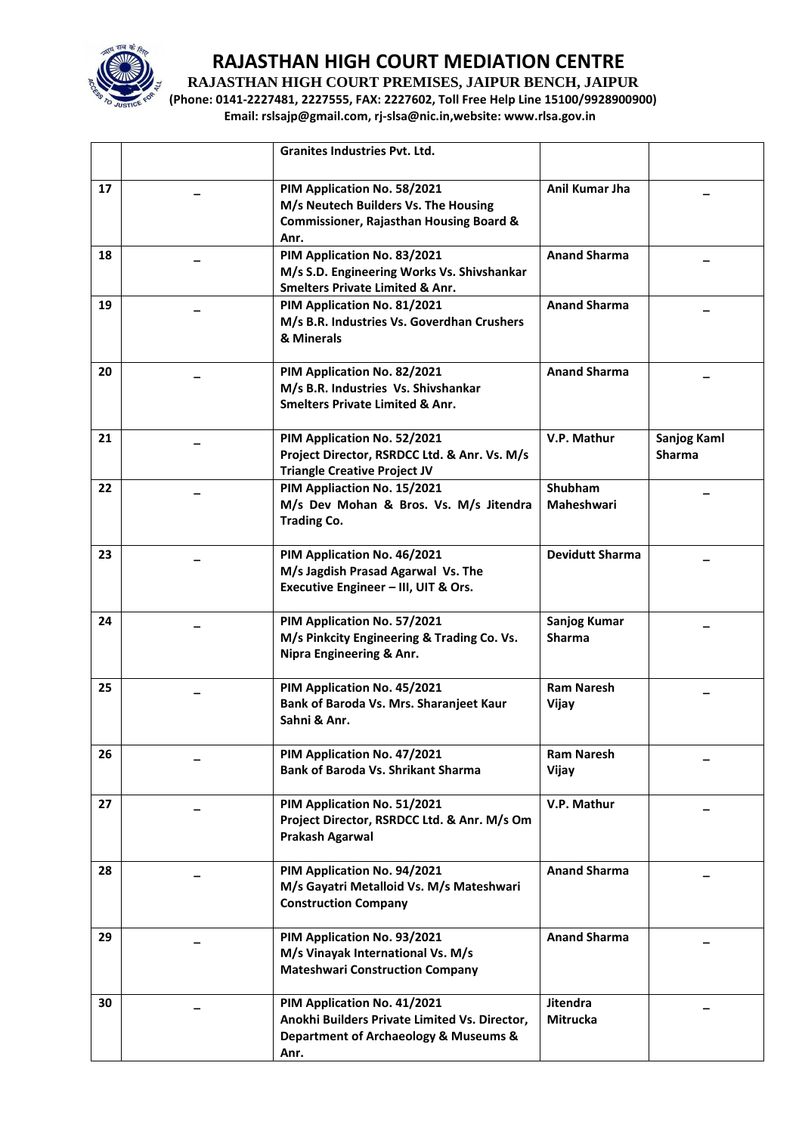

**RAJASTHAN HIGH COURT PREMISES, JAIPUR BENCH, JAIPUR**

**(Phone: 0141-2227481, 2227555, FAX: 2227602, Toll Free Help Line 15100/9928900900) Email: rslsajp@gmail.com, rj-slsa@nic.in,website: www.rlsa.gov.in**

|    | Granites Industries Pvt. Ltd.                                                                                                     |                               |                                     |
|----|-----------------------------------------------------------------------------------------------------------------------------------|-------------------------------|-------------------------------------|
| 17 | PIM Application No. 58/2021<br>M/s Neutech Builders Vs. The Housing<br><b>Commissioner, Rajasthan Housing Board &amp;</b><br>Anr. | Anil Kumar Jha                |                                     |
| 18 | PIM Application No. 83/2021<br>M/s S.D. Engineering Works Vs. Shivshankar<br><b>Smelters Private Limited &amp; Anr.</b>           | <b>Anand Sharma</b>           |                                     |
| 19 | PIM Application No. 81/2021<br>M/s B.R. Industries Vs. Goverdhan Crushers<br>& Minerals                                           | <b>Anand Sharma</b>           |                                     |
| 20 | PIM Application No. 82/2021<br>M/s B.R. Industries Vs. Shivshankar<br><b>Smelters Private Limited &amp; Anr.</b>                  | <b>Anand Sharma</b>           |                                     |
| 21 | PIM Application No. 52/2021<br>Project Director, RSRDCC Ltd. & Anr. Vs. M/s<br><b>Triangle Creative Project JV</b>                | V.P. Mathur                   | <b>Sanjog Kaml</b><br><b>Sharma</b> |
| 22 | PIM Appliaction No. 15/2021<br>M/s Dev Mohan & Bros. Vs. M/s Jitendra<br><b>Trading Co.</b>                                       | Shubham<br><b>Maheshwari</b>  |                                     |
| 23 | PIM Application No. 46/2021<br>M/s Jagdish Prasad Agarwal Vs. The<br>Executive Engineer - III, UIT & Ors.                         | <b>Devidutt Sharma</b>        |                                     |
| 24 | PIM Application No. 57/2021<br>M/s Pinkcity Engineering & Trading Co. Vs.<br>Nipra Engineering & Anr.                             | Sanjog Kumar<br><b>Sharma</b> |                                     |
| 25 | PIM Application No. 45/2021<br>Bank of Baroda Vs. Mrs. Sharanjeet Kaur<br>Sahni & Anr.                                            | <b>Ram Naresh</b><br>Vijay    |                                     |
| 26 | PIM Application No. 47/2021<br><b>Bank of Baroda Vs. Shrikant Sharma</b>                                                          | <b>Ram Naresh</b><br>Vijay    |                                     |
| 27 | PIM Application No. 51/2021<br>Project Director, RSRDCC Ltd. & Anr. M/s Om<br>Prakash Agarwal                                     | V.P. Mathur                   |                                     |
| 28 | PIM Application No. 94/2021<br>M/s Gayatri Metalloid Vs. M/s Mateshwari<br><b>Construction Company</b>                            | <b>Anand Sharma</b>           |                                     |
| 29 | PIM Application No. 93/2021<br>M/s Vinayak International Vs. M/s<br><b>Mateshwari Construction Company</b>                        | <b>Anand Sharma</b>           |                                     |
| 30 | PIM Application No. 41/2021<br>Anokhi Builders Private Limited Vs. Director,<br>Department of Archaeology & Museums &<br>Anr.     | Jitendra<br>Mitrucka          |                                     |